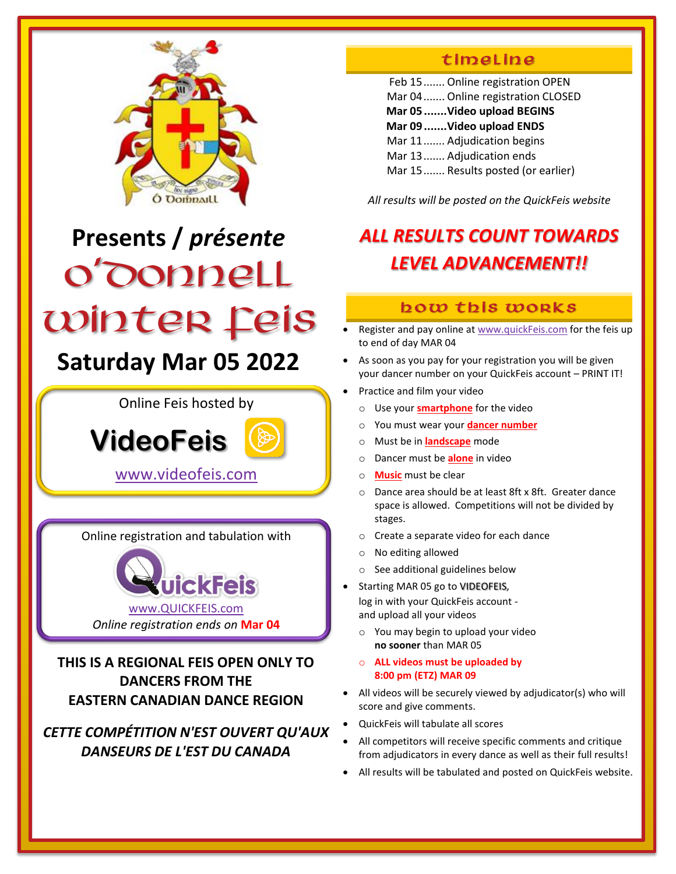

# **Presents /** *présente* O'Donnell Winter Feis

# **Saturday Mar 05 2022**

Online Feis hosted by

 **VideoFeis** 

[www.videofeis.com](http://www.videofeis.com/)

Online registration and tabulation with



**THIS IS A REGIONAL FEIS OPEN ONLY TO DANCERS FROM THE EASTERN CANADIAN DANCE REGION**

### *CETTE COMPÉTITION N'EST OUVERT QU'AUX DANSEURS DE L'EST DU CANADA*

### timeLine

Feb 15....... Online registration OPEN Mar 04....... Online registration CLOSED **Mar 05.......Video upload BEGINS Mar 09.......Video upload ENDS** Mar 11....... Adjudication begins Mar 13....... Adjudication ends Mar 15....... Results posted (or earlier)

*All results will be posted on the QuickFeis website*

## *ALL RESULTS COUNT TOWARDS LEVEL ADVANCEMENT!!*

### how this works

- Register and pay online a[t www.quickFeis.com](http://www.quickfeis.com/) for the feis up to end of day MAR 04
- As soon as you pay for your registration you will be given your dancer number on your QuickFeis account – PRINT IT!
- Practice and film your video
	- o Use your **smartphone** for the video
	- o You must wear your **dancer number**
	- o Must be in **landscape** mode
	- o Dancer must be **alone** in video
	- o **Music** must be clear
	- o Dance area should be at least 8ft x 8ft. Greater dance space is allowed. Competitions will not be divided by stages.
	- o Create a separate video for each dance
	- o No editing allowed
	- o See additional guidelines below
- Starting MAR 05 go to VIDEOFEIS, log in with your QuickFeis account and upload all your videos
	- o You may begin to upload your video **no sooner** than MAR 05
	- o **ALL videos must be uploaded by 8:00 pm (ETZ) MAR 09**
- All videos will be securely viewed by adjudicator(s) who will score and give comments.
- QuickFeis will tabulate all scores
- All competitors will receive specific comments and critique from adjudicators in every dance as well as their full results!
- All results will be tabulated and posted on QuickFeis website.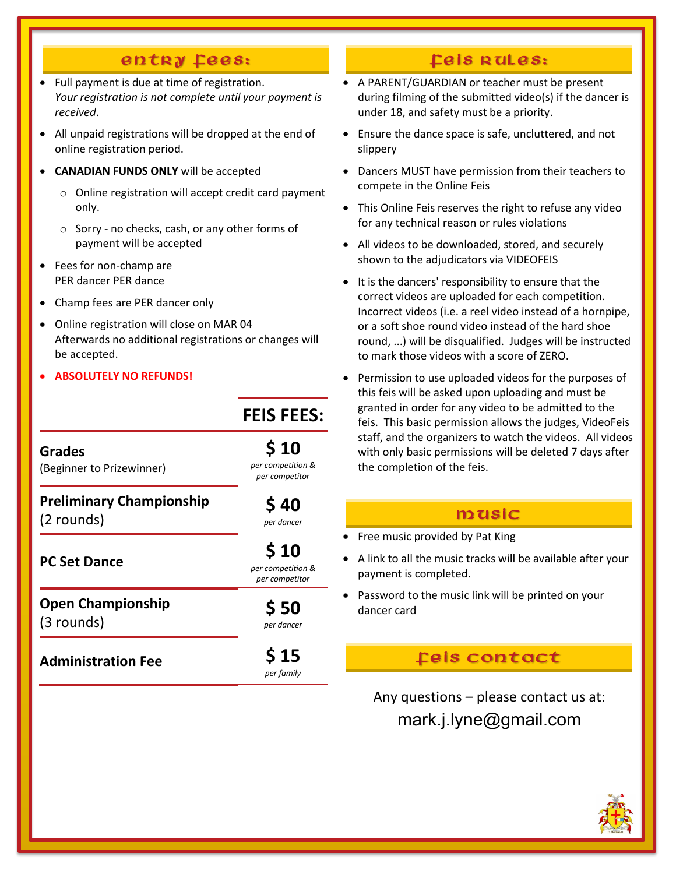### entry fees:

- Full payment is due at time of registration. *Your registration is not complete until your payment is received*.
- All unpaid registrations will be dropped at the end of online registration period.
- **CANADIAN FUNDS ONLY** will be accepted
	- o Online registration will accept credit card payment only.
	- o Sorry no checks, cash, or any other forms of payment will be accepted
- Fees for non-champ are PER dancer PER dance
- Champ fees are PER dancer only
- Online registration will close on MAR 04 Afterwards no additional registrations or changes will be accepted.

**FEIS FEES:**

• **ABSOLUTELY NO REFUNDS!**

|                                               | FEID FEED:                                  |
|-----------------------------------------------|---------------------------------------------|
| <b>Grades</b><br>(Beginner to Prizewinner)    | \$10<br>per competition &<br>per competitor |
| <b>Preliminary Championship</b><br>(2 rounds) | \$40<br>per dancer                          |
| <b>PC Set Dance</b>                           | \$10<br>per competition &<br>per competitor |
| <b>Open Championship</b><br>(3 rounds)        | \$50<br>per dancer                          |
| <b>Administration Fee</b>                     | S 15<br>per family                          |

### Leis Rules:

- A PARENT/GUARDIAN or teacher must be present during filming of the submitted video(s) if the dancer is under 18, and safety must be a priority.
- Ensure the dance space is safe, uncluttered, and not slippery
- Dancers MUST have permission from their teachers to compete in the Online Feis
- This Online Feis reserves the right to refuse any video for any technical reason or rules violations
- All videos to be downloaded, stored, and securely shown to the adjudicators via VIDEOFEIS
- It is the dancers' responsibility to ensure that the correct videos are uploaded for each competition. Incorrect videos (i.e. a reel video instead of a hornpipe, or a soft shoe round video instead of the hard shoe round, ...) will be disqualified. Judges will be instructed to mark those videos with a score of ZERO.
- Permission to use uploaded videos for the purposes of this feis will be asked upon uploading and must be granted in order for any video to be admitted to the feis. This basic permission allows the judges, VideoFeis staff, and the organizers to watch the videos. All videos with only basic permissions will be deleted 7 days after the completion of the feis.

### music

- Free music provided by Pat King
- A link to all the music tracks will be available after your payment is completed.
- Password to the music link will be printed on your dancer card

### Fels contact

Any questions – please contact us at: mark.j.lyne@gmail.com

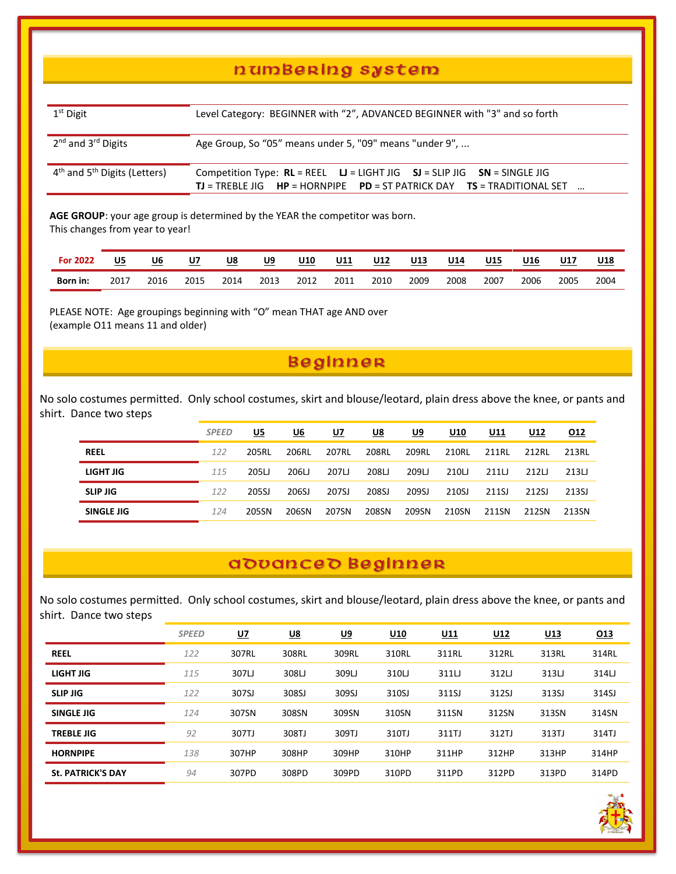### n um Berlng system

| $1st$ Digit                                          | Level Category: BEGINNER with "2", ADVANCED BEGINNER with "3" and so forth                                                                                        |  |  |  |  |  |  |  |  |  |
|------------------------------------------------------|-------------------------------------------------------------------------------------------------------------------------------------------------------------------|--|--|--|--|--|--|--|--|--|
| 2 <sup>nd</sup> and 3 <sup>rd</sup> Digits           | Age Group, So "05" means under 5, "09" means "under 9",                                                                                                           |  |  |  |  |  |  |  |  |  |
| 4 <sup>th</sup> and 5 <sup>th</sup> Digits (Letters) | Competition Type: $RL = REEL$ $LI = LIGHT JIG$ $SJ = SLIP JIG$ $SN = SINGLE JIG$<br><b>TJ</b> = TREBLE JIG HP = HORNPIPE PD = ST PATRICK DAY TS = TRADITIONAL SET |  |  |  |  |  |  |  |  |  |

**AGE GROUP**: your age group is determined by the YEAR the competitor was born. This changes from year to year!

| <b>For 2022</b> | <u>U5</u> | <u>U6</u> | U7   | <u>U8</u> | U9   | <b>U10</b> | U11  | <b>U12</b> | U13  | U14  | U15  | U16  | <b>U17</b> | U18  |
|-----------------|-----------|-----------|------|-----------|------|------------|------|------------|------|------|------|------|------------|------|
| Born in:        | 2017      | 2016      | 2015 | 2014      | 2013 | 2012       | 2011 | 2010       | 2009 | 2008 | 2007 | 2006 | 2005       | 2004 |

PLEASE NOTE: Age groupings beginning with "O" mean THAT age AND over (example O11 means 11 and older)

### **Beginner**

No solo costumes permitted. Only school costumes, skirt and blouse/leotard, plain dress above the knee, or pants and shirt. Dance two steps

|                 | <b>SPEED</b> | U5    | U6    | U7    | <u>U8</u> | U9    | U10   | U11   | U12   | <u>012</u> |
|-----------------|--------------|-------|-------|-------|-----------|-------|-------|-------|-------|------------|
| <b>REEL</b>     | 122          | 205RL | 206RL | 207RL | 208RL     | 209RL | 210RL | 211RL | 212RL | 213RL      |
| LIGHT JIG       | 115          | 205LJ | 206LJ | 207L  | 208LJ     | 209LJ | 210LJ | 211U  | 212L  | 213LJ      |
| <b>SLIP JIG</b> | 122          | 205SJ | 206SJ | 207SJ | 208SJ     | 209SJ | 210SJ | 211SJ | 212SJ | 213SJ      |
| SINGLE JIG      | 124          | 205SN | 206SN | 207SN | 208SN     | 209SN | 210SN | 211SN | 212SN | 213SN      |

### a douance d Beginnen

No solo costumes permitted. Only school costumes, skirt and blouse/leotard, plain dress above the knee, or pants and shirt. Dance two steps

|                          | <b>SPEED</b> | <u>U7</u> | <u>U8</u> | <u>U9</u> | U <sub>10</sub> | <u>U11</u> | U12   | U13   | 013   |
|--------------------------|--------------|-----------|-----------|-----------|-----------------|------------|-------|-------|-------|
| <b>REEL</b>              | 122          | 307RL     | 308RL     | 309RL     | 310RL           | 311RL      | 312RL | 313RL | 314RL |
| LIGHT JIG                | 115          | 307LJ     | 308LJ     | 309LJ     | 310LJ           | 311LJ      | 312L  | 313LJ | 314LJ |
| <b>SLIP JIG</b>          | 122          | 307SJ     | 308SJ     | 309SJ     | 310SJ           | 311SJ      | 312SJ | 313SJ | 314SJ |
| SINGLE JIG               | 124          | 307SN     | 308SN     | 309SN     | 310SN           | 311SN      | 312SN | 313SN | 314SN |
| <b>TREBLE JIG</b>        | 92           | 307TJ     | 308TJ     | 309TJ     | 310TJ           | 311TJ      | 312TJ | 313TJ | 314TJ |
| <b>HORNPIPE</b>          | 138          | 307HP     | 308HP     | 309HP     | 310HP           | 311HP      | 312HP | 313HP | 314HP |
| <b>St. PATRICK'S DAY</b> | 94           | 307PD     | 308PD     | 309PD     | 310PD           | 311PD      | 312PD | 313PD | 314PD |

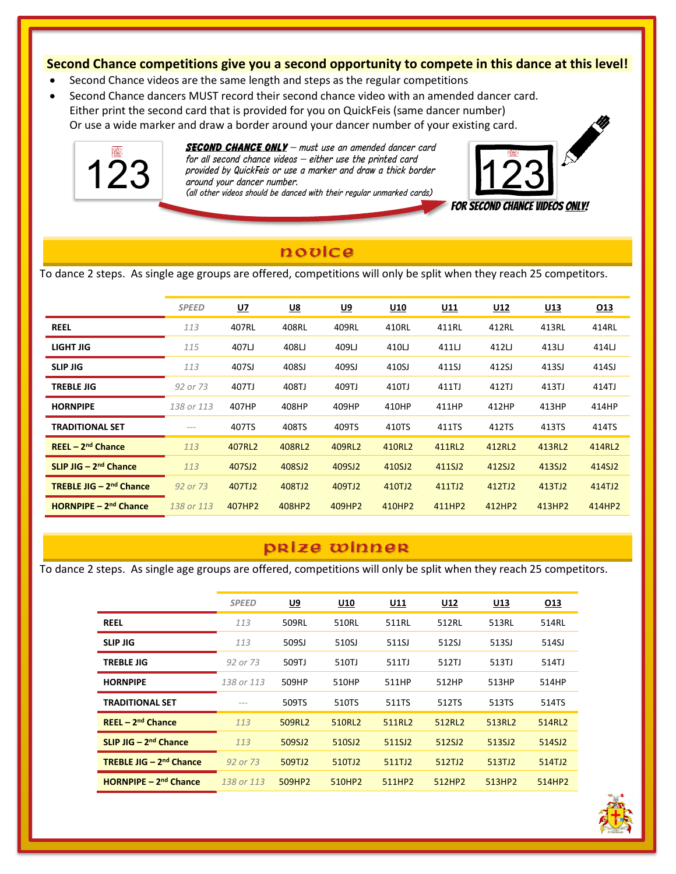#### **Second Chance competitions give you a second opportunity to compete in this dance at this level!**

- Second Chance videos are the same length and steps as the regular competitions
- Second Chance dancers MUST record their second chance video with an amended dancer card. Either print the second card that is provided for you on QuickFeis (same dancer number) Or use a wide marker and draw a border around your dancer number of your existing card.



j

*SECOND CHANCE ONLY – must use an amended dancer card for all second chance videos – either use the printed card provided by QuickFeis or use a marker use the printed card*<br>*provided by QuickFeis or use a marker and draw a thick border*<br>(*all other videos should be danced with their regular unmarked cards) around your dancer number.* 



### novice

To dance 2 steps. As single age groups are offered, competitions will only be split when they reach 25 competitors.

|                                           | <b>SPEED</b> | <u>U7</u> | <u>U8</u> | <u>U9</u> | U <sub>10</sub> | <u>U11</u> | <u>U12</u> | <u>U13</u> | <u>013</u> |
|-------------------------------------------|--------------|-----------|-----------|-----------|-----------------|------------|------------|------------|------------|
| <b>REEL</b>                               | 113          | 407RL     | 408RL     | 409RL     | 410RL           | 411RL      | 412RL      | 413RL      | 414RL      |
| LIGHT JIG                                 | 115          | 407LJ     | 408LJ     | 409LJ     | 410LJ           | 411LJ      | 412LJ      | 413LJ      | 414LJ      |
| <b>SLIP JIG</b>                           | 113          | 407SJ     | 408SJ     | 409SJ     | 410SJ           | 411SJ      | 412SJ      | 413SJ      | 414SJ      |
| <b>TREBLE JIG</b>                         | 92 or 73     | 407TJ     | 408TJ     | 409TJ     | 410TJ           | 411TJ      | 412TJ      | 413TJ      | 414TJ      |
| <b>HORNPIPE</b>                           | 138 or 113   | 407HP     | 408HP     | 409HP     | 410HP           | 411HP      | 412HP      | 413HP      | 414HP      |
| <b>TRADITIONAL SET</b>                    | $- - -$      | 407TS     | 408TS     | 409TS     | 410TS           | 411TS      | 412TS      | 413TS      | 414TS      |
| $REEL - 2nd$ Chance                       | 113          | 407RL2    | 408RL2    | 409RL2    | 410RL2          | 411RL2     | 412RL2     | 413RL2     | 414RL2     |
| $SLIP$ JIG $-$ 2 <sup>nd</sup> Chance     | 113          | 407SJ2    | 408SJ2    | 409SJ2    | 410SJ2          | 411SJ2     | 412SJ2     | 413SJ2     | 414SJ2     |
| <b>TREBLE JIG - 2<sup>nd</sup> Chance</b> | 92 or 73     | 407TJ2    | 408TJ2    | 409TJ2    | 410TJ2          | 411TJ2     | 412TJ2     | 413TJ2     | 414TJ2     |
| HORNPIPE $-2^{nd}$ Chance                 | 138 or 113   | 407HP2    | 408HP2    | 409HP2    | 410HP2          | 411HP2     | 412HP2     | 413HP2     | 414HP2     |
|                                           |              |           |           |           |                 |            |            |            |            |

### p r i ze winnen

To dance 2 steps. As single age groups are offered, competitions will only be split when they reach 25 competitors.

|                                           | <b>SPEED</b> | <u>U9</u> | U10    | <u>U11</u> | <u>U12</u> | U13    | 013    |
|-------------------------------------------|--------------|-----------|--------|------------|------------|--------|--------|
| <b>REEL</b>                               | 113          | 509RL     | 510RL  | 511RL      | 512RL      | 513RL  | 514RL  |
| <b>SLIP JIG</b>                           | 113          | 509SJ     | 510SJ  | 511SJ      | 512SJ      | 513SJ  | 514SJ  |
| <b>TREBLE JIG</b>                         | 92 or 73     | 509TJ     | 510TJ  | 511TJ      | 512TJ      | 513TJ  | 514TJ  |
| <b>HORNPIPE</b>                           | 138 or 113   | 509HP     | 510HP  | 511HP      | 512HP      | 513HP  | 514HP  |
| <b>TRADITIONAL SET</b>                    |              | 509TS     | 510TS  | 511TS      | 512TS      | 513TS  | 514TS  |
| $REEL - 2nd Change$                       | 113          | 509RL2    | 510RL2 | 511RL2     | 512RL2     | 513RL2 | 514RL2 |
| $SLIP$ JIG $-$ 2 <sup>nd</sup> Chance     | 113          | 509SJ2    | 510SJ2 | 511SJ2     | 512SJ2     | 513SJ2 | 514SJ2 |
| <b>TREBLE JIG - 2<sup>nd</sup> Chance</b> | 92 or 73     | 509TJ2    | 510TJ2 | 511TJ2     | 512TJ2     | 513TJ2 | 514TJ2 |
| $HORNP$ PE $-2nd$ Chance                  | 138 or 113   | 509HP2    | 510HP2 | 511HP2     | 512HP2     | 513HP2 | 514HP2 |

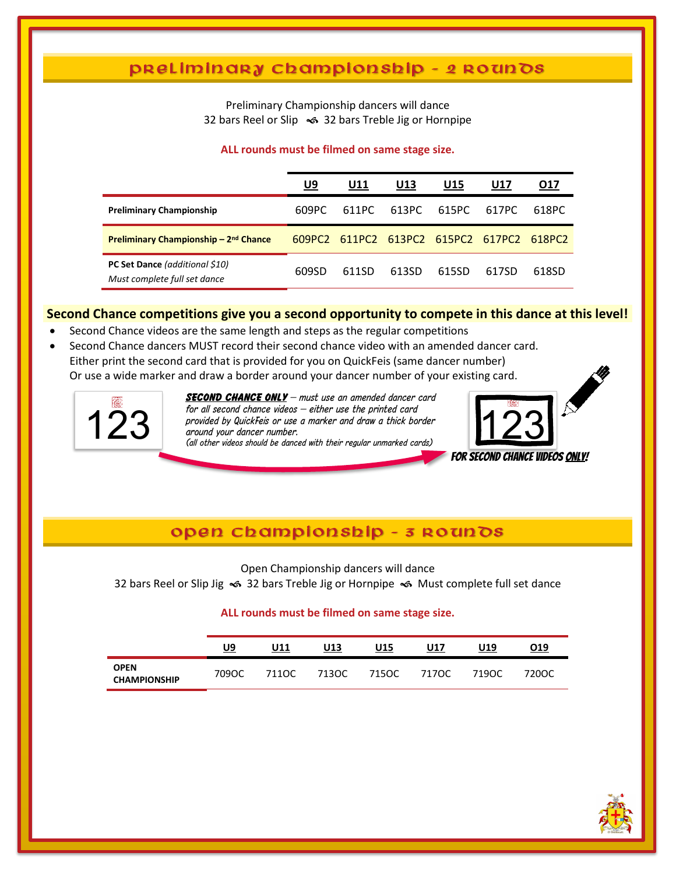### p r e l iminary championship - 2 roun Ds

Preliminary Championship dancers will dance 32 bars Reel or Slip <>>>> 32 bars Treble Jig or Hornpipe

#### **ALL rounds must be filmed on same stage size.**

|                                                                | U9     | U11   | U13   | U15                         | U17   | 017    |
|----------------------------------------------------------------|--------|-------|-------|-----------------------------|-------|--------|
| <b>Preliminary Championship</b>                                | 609PC  | 611PC | 613PC | 615PC                       | 617PC | 618PC  |
| Preliminary Championship – 2 <sup>nd</sup> Chance              | 609PC2 |       |       | 611PC2 613PC2 615PC2 617PC2 |       | 618PC2 |
| PC Set Dance (additional \$10)<br>Must complete full set dance | 609SD  | 611SD | 613SD | 615SD                       | 617SD | 618SD  |

#### **Second Chance competitions give you a second opportunity to compete in this dance at this level!**

- Second Chance videos are the same length and steps as the regular competitions
- Second Chance dancers MUST record their second chance video with an amended dancer card. Either print the second card that is provided for you on QuickFeis (same dancer number) Or use a wide marker and draw a border around your dancer number of your existing card.



j

*SECOND CHANCE ONLY – must use an amended dancer card for all second chance videos – either use the printed card provided by QuickFeis or use a marker use the printed card*<br>*around your dancer number.*<br>(all other videos should be danced with their regular unmarked cards) *around your dancer number.* 



### open championship - 3 Roun Ds

Open Championship dancers will dance

32 bars Reel or Slip Jig < 32 bars Treble Jig or Hornpipe < Must complete full set dance

#### **ALL rounds must be filmed on same stage size.**

|                                    | U9    | U11   | U13   | U15   | U17   | U19   | 019   |
|------------------------------------|-------|-------|-------|-------|-------|-------|-------|
| <b>OPEN</b><br><b>CHAMPIONSHIP</b> | 709OC | 711OC | 713OC | 715OC | 717OC | 719OC | 720OC |

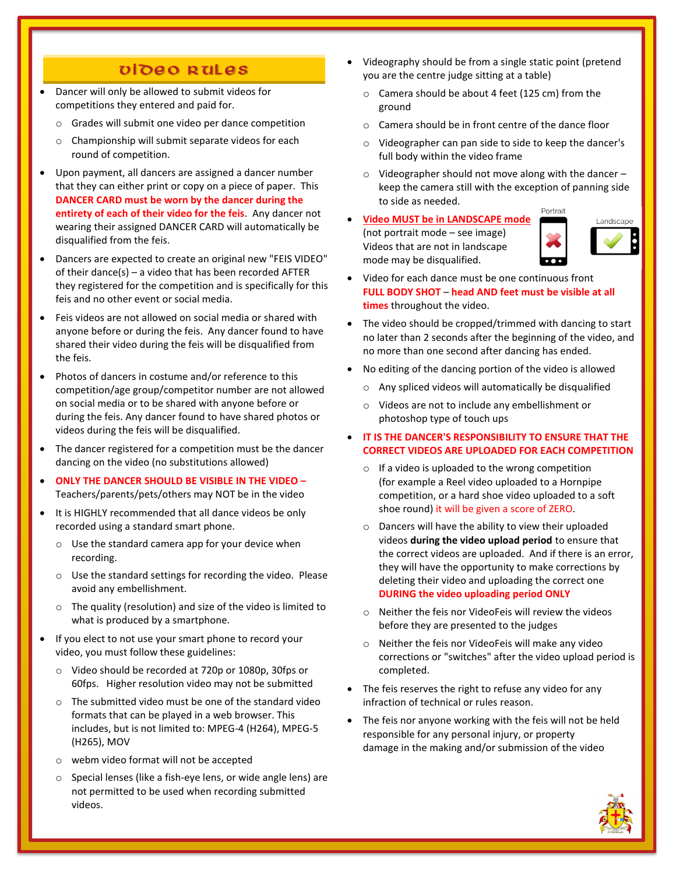### video Rules

- Dancer will only be allowed to submit videos for competitions they entered and paid for.
	- o Grades will submit one video per dance competition
	- o Championship will submit separate videos for each round of competition.
- Upon payment, all dancers are assigned a dancer number that they can either print or copy on a piece of paper. This **DANCER CARD must be worn by the dancer during the entirety of each of their video for the feis**. Any dancer not wearing their assigned DANCER CARD will automatically be disqualified from the feis.
- Dancers are expected to create an original new "FEIS VIDEO" of their dance(s) – a video that has been recorded AFTER they registered for the competition and is specifically for this feis and no other event or social media.
- Feis videos are not allowed on social media or shared with anyone before or during the feis. Any dancer found to have shared their video during the feis will be disqualified from the feis.
- Photos of dancers in costume and/or reference to this competition/age group/competitor number are not allowed on social media or to be shared with anyone before or during the feis. Any dancer found to have shared photos or videos during the feis will be disqualified.
- The dancer registered for a competition must be the dancer dancing on the video (no substitutions allowed)
- **ONLY THE DANCER SHOULD BE VISIBLE IN THE VIDEO –** Teachers/parents/pets/others may NOT be in the video
- It is HIGHLY recommended that all dance videos be only recorded using a standard smart phone.
	- o Use the standard camera app for your device when recording.
	- o Use the standard settings for recording the video. Please avoid any embellishment.
	- o The quality (resolution) and size of the video is limited to what is produced by a smartphone.
- If you elect to not use your smart phone to record your video, you must follow these guidelines:
	- o Video should be recorded at 720p or 1080p, 30fps or 60fps. Higher resolution video may not be submitted
	- o The submitted video must be one of the standard video formats that can be played in a web browser. This includes, but is not limited to: MPEG-4 (H264), MPEG-5 (H265), MOV
	- o webm video format will not be accepted
	- o Special lenses (like a fish-eye lens, or wide angle lens) are not permitted to be used when recording submitted videos.
- Videography should be from a single static point (pretend you are the centre judge sitting at a table)
	- o Camera should be about 4 feet (125 cm) from the ground
	- o Camera should be in front centre of the dance floor
	- o Videographer can pan side to side to keep the dancer's full body within the video frame
	- o Videographer should not move along with the dancer keep the camera still with the exception of panning side to side as needed. Portrait
- **Video MUST be in LANDSCAPE mode** (not portrait mode – see image) Videos that are not in landscape mode may be disqualified.



- Video for each dance must be one continuous front **FULL BODY SHOT** – **head AND feet must be visible at all times** throughout the video.
- The video should be cropped/trimmed with dancing to start no later than 2 seconds after the beginning of the video, and no more than one second after dancing has ended.
- No editing of the dancing portion of the video is allowed
	- o Any spliced videos will automatically be disqualified
	- o Videos are not to include any embellishment or photoshop type of touch ups
- **IT IS THE DANCER'S RESPONSIBILITY TO ENSURE THAT THE CORRECT VIDEOS ARE UPLOADED FOR EACH COMPETITION**
	- o If a video is uploaded to the wrong competition (for example a Reel video uploaded to a Hornpipe competition, or a hard shoe video uploaded to a soft shoe round) it will be given a score of ZERO.
	- o Dancers will have the ability to view their uploaded videos **during the video upload period** to ensure that the correct videos are uploaded. And if there is an error, they will have the opportunity to make corrections by deleting their video and uploading the correct one **DURING the video uploading period ONLY**
	- o Neither the feis nor VideoFeis will review the videos before they are presented to the judges
	- o Neither the feis nor VideoFeis will make any video corrections or "switches" after the video upload period is completed.
- The feis reserves the right to refuse any video for any infraction of technical or rules reason.
- The feis nor anyone working with the feis will not be held responsible for any personal injury, or property damage in the making and/or submission of the video

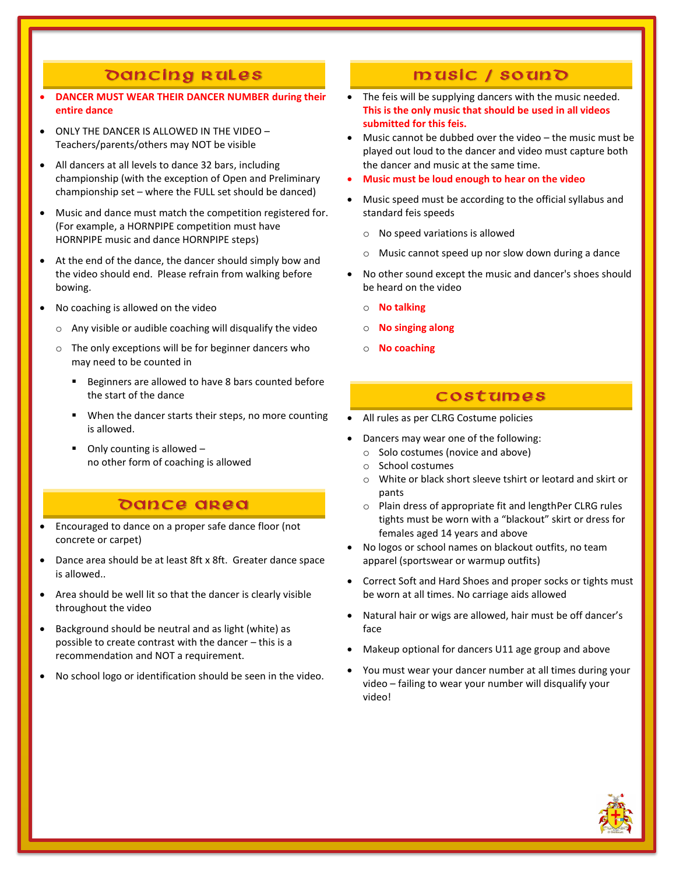### Dancing Rules

- **DANCER MUST WEAR THEIR DANCER NUMBER during their entire dance**
- ONLY THE DANCER IS ALLOWED IN THE VIDEO Teachers/parents/others may NOT be visible
- All dancers at all levels to dance 32 bars, including championship (with the exception of Open and Preliminary championship set – where the FULL set should be danced)
- Music and dance must match the competition registered for. (For example, a HORNPIPE competition must have HORNPIPE music and dance HORNPIPE steps)
- At the end of the dance, the dancer should simply bow and the video should end. Please refrain from walking before bowing.
- No coaching is allowed on the video
	- o Any visible or audible coaching will disqualify the video
	- o The only exceptions will be for beginner dancers who may need to be counted in
		- Beginners are allowed to have 8 bars counted before the start of the dance
		- When the dancer starts their steps, no more counting is allowed.
		- Only counting is allowed  $$ no other form of coaching is allowed

### Dance area

- Encouraged to dance on a proper safe dance floor (not concrete or carpet)
- Dance area should be at least 8ft x 8ft. Greater dance space is allowed..
- Area should be well lit so that the dancer is clearly visible throughout the video
- Background should be neutral and as light (white) as possible to create contrast with the dancer – this is a recommendation and NOT a requirement.
- No school logo or identification should be seen in the video.

### music / souno

- The feis will be supplying dancers with the music needed. **This is the only music that should be used in all videos submitted for this feis.**
- Music cannot be dubbed over the video the music must be played out loud to the dancer and video must capture both the dancer and music at the same time.
- **Music must be loud enough to hear on the video**
- Music speed must be according to the official syllabus and standard feis speeds
	- o No speed variations is allowed
	- o Music cannot speed up nor slow down during a dance
- No other sound except the music and dancer's shoes should be heard on the video
	- o **No talking**
	- o **No singing along**
	- o **No coaching**

#### **COSTUMES**

- All rules as per CLRG Costume policies
- Dancers may wear one of the following:
	- o Solo costumes (novice and above)
	- o School costumes
	- o White or black short sleeve tshirt or leotard and skirt or pants
	- o Plain dress of appropriate fit and lengthPer CLRG rules tights must be worn with a "blackout" skirt or dress for females aged 14 years and above
- No logos or school names on blackout outfits, no team apparel (sportswear or warmup outfits)
- Correct Soft and Hard Shoes and proper socks or tights must be worn at all times. No carriage aids allowed
- Natural hair or wigs are allowed, hair must be off dancer's face
- Makeup optional for dancers U11 age group and above
- You must wear your dancer number at all times during your video – failing to wear your number will disqualify your video!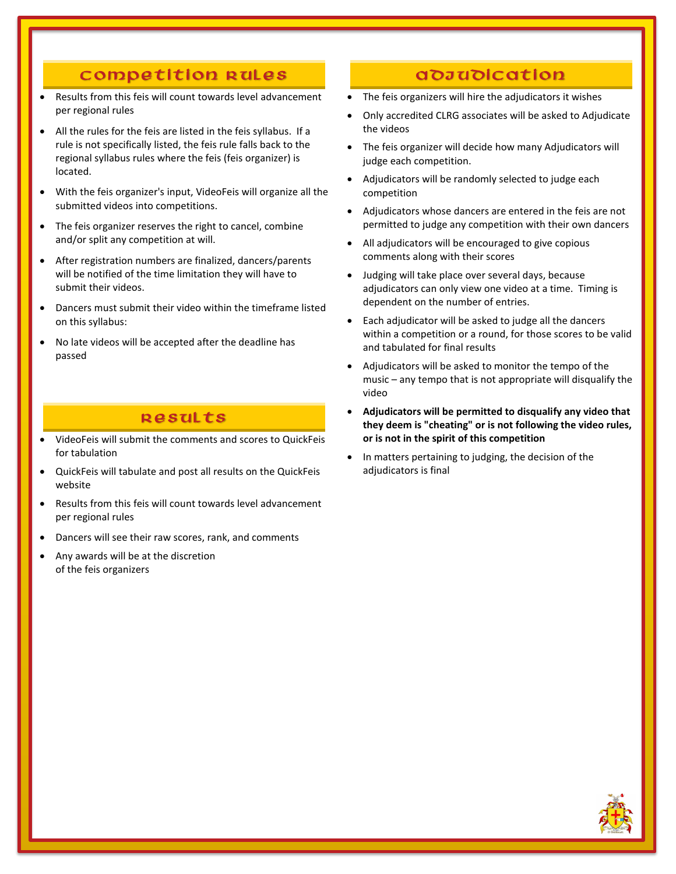### Competition Rules

- Results from this feis will count towards level advancement per regional rules
- All the rules for the feis are listed in the feis syllabus. If a rule is not specifically listed, the feis rule falls back to the regional syllabus rules where the feis (feis organizer) is located.
- With the feis organizer's input, VideoFeis will organize all the submitted videos into competitions.
- The feis organizer reserves the right to cancel, combine and/or split any competition at will.
- After registration numbers are finalized, dancers/parents will be notified of the time limitation they will have to submit their videos.
- Dancers must submit their video within the timeframe listed on this syllabus:
- No late videos will be accepted after the deadline has passed

### **Results**

- VideoFeis will submit the comments and scores to QuickFeis for tabulation
- QuickFeis will tabulate and post all results on the QuickFeis website
- Results from this feis will count towards level advancement per regional rules
- Dancers will see their raw scores, rank, and comments
- Any awards will be at the discretion of the feis organizers

### a *d d d* d i c a t i o n

- The feis organizers will hire the adjudicators it wishes
- Only accredited CLRG associates will be asked to Adjudicate the videos
- The feis organizer will decide how many Adjudicators will judge each competition.
- Adjudicators will be randomly selected to judge each competition
- Adjudicators whose dancers are entered in the feis are not permitted to judge any competition with their own dancers
- All adjudicators will be encouraged to give copious comments along with their scores
- Judging will take place over several days, because adjudicators can only view one video at a time. Timing is dependent on the number of entries.
- Each adjudicator will be asked to judge all the dancers within a competition or a round, for those scores to be valid and tabulated for final results
- Adjudicators will be asked to monitor the tempo of the music – any tempo that is not appropriate will disqualify the video
- **Adjudicators will be permitted to disqualify any video that they deem is "cheating" or is not following the video rules, or is not in the spirit of this competition**
- In matters pertaining to judging, the decision of the adjudicators is final